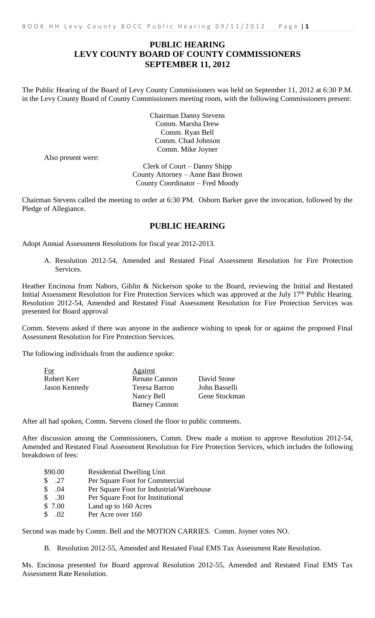## **PUBLIC HEARING LEVY COUNTY BOARD OF COUNTY COMMISSIONERS SEPTEMBER 11, 2012**

The Public Hearing of the Board of Levy County Commissioners was held on September 11, 2012 at 6:30 P.M. in the Levy County Board of County Commissioners meeting room, with the following Commissioners present:

> Chairman Danny Stevens Comm. Marsha Drew Comm. Ryan Bell Comm. Chad Johnson Comm. Mike Joyner

Also present were:

Clerk of Court – Danny Shipp County Attorney – Anne Bast Brown County Coordinator – Fred Moody

Chairman Stevens called the meeting to order at 6:30 PM. Osborn Barker gave the invocation, followed by the Pledge of Allegiance.

## **PUBLIC HEARING**

Adopt Annual Assessment Resolutions for fiscal year 2012-2013.

A. Resolution 2012-54, Amended and Restated Final Assessment Resolution for Fire Protection Services.

Heather Encinosa from Nabors, Giblin & Nickerson spoke to the Board, reviewing the Initial and Restated Initial Assessment Resolution for Fire Protection Services which was approved at the July 17<sup>th</sup> Public Hearing. Resolution 2012-54, Amended and Restated Final Assessment Resolution for Fire Protection Services was presented for Board approval

Comm. Stevens asked if there was anyone in the audience wishing to speak for or against the proposed Final Assessment Resolution for Fire Protection Services.

The following individuals from the audience spoke:

| For                  | <b>Against</b>       |               |
|----------------------|----------------------|---------------|
| Robert Kerr          | <b>Renate Cannon</b> | David Stone   |
| <b>Jason Kennedy</b> | Teresa Barron        | John Basselli |
|                      | Nancy Bell           | Gene Stockman |
|                      | <b>Barney Cannon</b> |               |

After all had spoken, Comm. Stevens closed the floor to public comments.

After discussion among the Commissioners, Comm. Drew made a motion to approve Resolution 2012-54, Amended and Restated Final Assessment Resolution for Fire Protection Services, which includes the following breakdown of fees:

- \$90.00 Residential Dwelling Unit
- \$ .27 Per Square Foot for Commercial
- \$ .04 Per Square Foot for Industrial/Warehouse<br>\$ .30 Per Square Foot for Institutional
- Per Square Foot for Institutional
- \$ 7.00 Land up to 160 Acres
- \$ .02 Per Acre over 160

Second was made by Comm. Bell and the MOTION CARRIES. Comm. Joyner votes NO.

B. Resolution 2012-55, Amended and Restated Final EMS Tax Assessment Rate Resolution.

Ms. Encinosa presented for Board approval Resolution 2012-55, Amended and Restated Final EMS Tax Assessment Rate Resolution.